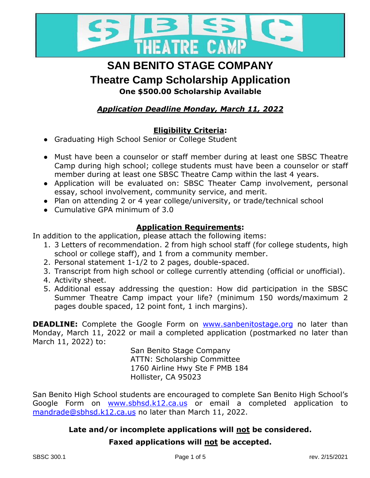

## **SAN BENITO STAGE COMPANY**

**Theatre Camp Scholarship Application**

**One \$500.00 Scholarship Available**

### *Application Deadline Monday, March 11, 2022*

### **Eligibility Criteria:**

- Graduating High School Senior or College Student
- Must have been a counselor or staff member during at least one SBSC Theatre Camp during high school; college students must have been a counselor or staff member during at least one SBSC Theatre Camp within the last 4 years.
- Application will be evaluated on: SBSC Theater Camp involvement, personal essay, school involvement, community service, and merit.
- Plan on attending 2 or 4 year college/university, or trade/technical school
- Cumulative GPA minimum of 3.0

#### **Application Requirements:**

In addition to the application, please attach the following items:

- 1. 3 Letters of recommendation. 2 from high school staff (for college students, high school or college staff), and 1 from a community member.
- 2. Personal statement 1-1/2 to 2 pages, double-spaced.
- 3. Transcript from high school or college currently attending (official or unofficial).
- 4. Activity sheet.
- 5. Additional essay addressing the question: How did participation in the SBSC Summer Theatre Camp impact your life? (minimum 150 words/maximum 2 pages double spaced, 12 point font, 1 inch margins).

**DEADLINE:** Complete the Google Form on [www.sanbenitostage.org](http://www.sanbenitostage.org/) no later than Monday, March 11, 2022 or mail a completed application (postmarked no later than March 11, 2022) to:

> San Benito Stage Company ATTN: Scholarship Committee 1760 Airline Hwy Ste F PMB 184 Hollister, CA 95023

San Benito High School students are encouraged to complete San Benito High School's Google Form on [www.sbhsd.k12.ca.us](http://www.sbhsd.k12.ca.us/) or email a completed application to [mandrade@sbhsd.k12.ca.us](mailto:mandrade@sbhsd.k12.ca.us) no later than March 11, 2022.

### **Late and/or incomplete applications will not be considered.**

#### **Faxed applications will not be accepted.**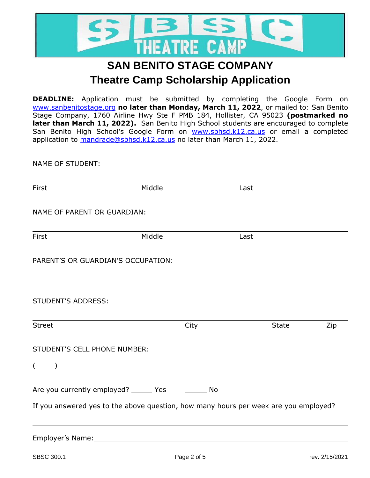

**DEADLINE:** Application must be submitted by completing the Google Form on [www.sanbenitostage.org](http://www.sanbenitostage.org/) **no later than Monday, March 11, 2022**, or mailed to: San Benito Stage Company, 1760 Airline Hwy Ste F PMB 184, Hollister, CA 95023 **(postmarked no later than March 11, 2022).** San Benito High School students are encouraged to complete San Benito High School's Google [Form on www.sbhsd.k](http://www.sbhsd.k12.ca.us/)12.ca.us or email a completed a[pplication to mandrade@sbhsd](mailto:mandrade@sbhsd.k12.ca.us).k12.ca.us no later than March 11, 2022.

NAME OF STUDENT:

| First                                                                                                           | Middle                                                                                                                                                                                                                              |      | Last                                                                                 |     |
|-----------------------------------------------------------------------------------------------------------------|-------------------------------------------------------------------------------------------------------------------------------------------------------------------------------------------------------------------------------------|------|--------------------------------------------------------------------------------------|-----|
| NAME OF PARENT OR GUARDIAN:                                                                                     |                                                                                                                                                                                                                                     |      |                                                                                      |     |
| <b>First</b>                                                                                                    | Middle                                                                                                                                                                                                                              |      | Last                                                                                 |     |
| PARENT'S OR GUARDIAN'S OCCUPATION:                                                                              |                                                                                                                                                                                                                                     |      |                                                                                      |     |
| <b>STUDENT'S ADDRESS:</b>                                                                                       |                                                                                                                                                                                                                                     |      |                                                                                      |     |
| <b>Street</b>                                                                                                   |                                                                                                                                                                                                                                     | City | <b>State</b>                                                                         | Zip |
| STUDENT'S CELL PHONE NUMBER:<br>$\sqrt{2}$                                                                      | $\overline{a}$ ) and the contract of the contract of the contract of the contract of the contract of the contract of the contract of the contract of the contract of the contract of the contract of the contract of the contract o |      |                                                                                      |     |
| Are you currently employed? ______ Yes _________ No                                                             |                                                                                                                                                                                                                                     |      | If you answered yes to the above question, how many hours per week are you employed? |     |
| Employer's Name: Name: Name and Security and Security and Security and Security and Security and Security and S |                                                                                                                                                                                                                                     |      |                                                                                      |     |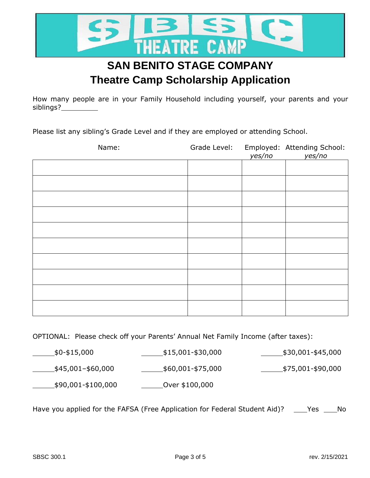

How many people are in your Family Household including yourself, your parents and your siblings?

Please list any sibling's Grade Level and if they are employed or attending School.

| Name: | Grade Level: | yes/no | Employed: Attending School:<br>yes/no |
|-------|--------------|--------|---------------------------------------|
|       |              |        |                                       |
|       |              |        |                                       |
|       |              |        |                                       |
|       |              |        |                                       |
|       |              |        |                                       |
|       |              |        |                                       |
|       |              |        |                                       |
|       |              |        |                                       |
|       |              |        |                                       |
|       |              |        |                                       |

#### OPTIONAL: Please check off your Parents' Annual Net Family Income (after taxes):

 $$0 - $15,000$   $$15,001 - $30,000$   $$30,001 - $45,000$ 

 $\frac{\text{1}}{\text{1}}$ \$45,001–\$60,000  $\frac{\text{1}}{\text{1}}$ \$60,001-\$75,000  $\frac{\text{1}}{\text{1}}$ \$75,001-\$90,000

\$90,001-\$100,000 Over \$100,000

Have you applied for the FAFSA (Free Application for Federal Student Aid)? \_\_\_\_Yes \_\_\_\_No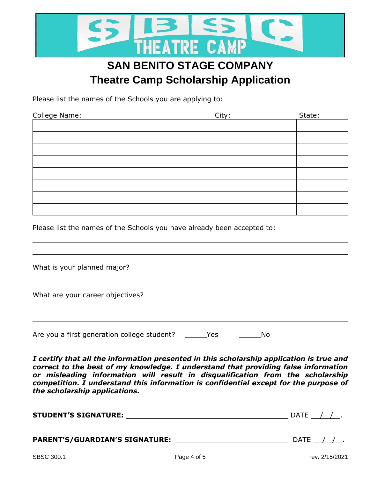

Please list the names of the Schools you are applying to:

| College Name: | City: | State: |
|---------------|-------|--------|
|               |       |        |
|               |       |        |
|               |       |        |
|               |       |        |
|               |       |        |
|               |       |        |
|               |       |        |
|               |       |        |

Please list the names of the Schools you have already been accepted to:

What is your planned major?

What are your career objectives?

Are you a first generation college student? \_\_\_\_\_\_Yes \_\_\_\_\_\_\_\_\_\_\_\_No

*I certify that all the information presented in this scholarship application is true and correct to the best of my knowledge. I understand that providing false information or misleading information will result in disqualification from the scholarship competition. I understand this information is confidential except for the purpose of the scholarship applications.* 

| <b>STUDENT'S SIGNATURE:</b> |             | DATE $/ /$ .   |
|-----------------------------|-------------|----------------|
|                             |             | DATE $/ /$ .   |
| SBSC 300.1                  | Page 4 of 5 | rev. 2/15/2021 |